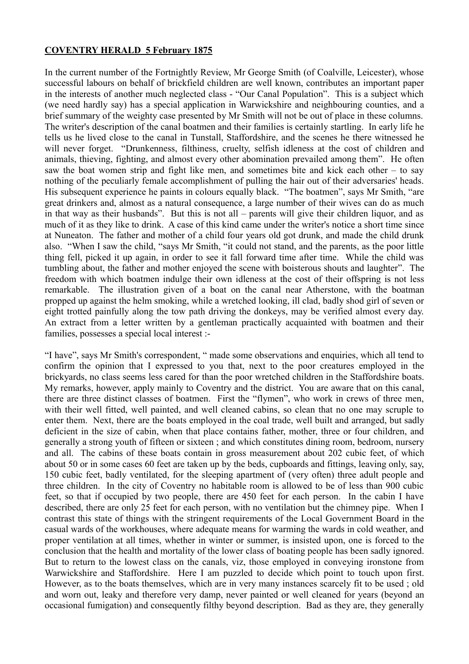## **COVENTRY HERALD 5 February 1875**

In the current number of the Fortnightly Review, Mr George Smith (of Coalville, Leicester), whose successful labours on behalf of brickfield children are well known, contributes an important paper in the interests of another much neglected class - "Our Canal Population". This is a subject which (we need hardly say) has a special application in Warwickshire and neighbouring counties, and a brief summary of the weighty case presented by Mr Smith will not be out of place in these columns. The writer's description of the canal boatmen and their families is certainly startling. In early life he tells us he lived close to the canal in Tunstall, Staffordshire, and the scenes he there witnessed he will never forget. "Drunkenness, filthiness, cruelty, selfish idleness at the cost of children and animals, thieving, fighting, and almost every other abomination prevailed among them". He often saw the boat women strip and fight like men, and sometimes bite and kick each other – to say nothing of the peculiarly female accomplishment of pulling the hair out of their adversaries' heads. His subsequent experience he paints in colours equally black. "The boatmen", says Mr Smith, "are great drinkers and, almost as a natural consequence, a large number of their wives can do as much in that way as their husbands". But this is not all – parents will give their children liquor, and as much of it as they like to drink. A case of this kind came under the writer's notice a short time since at Nuneaton. The father and mother of a child four years old got drunk, and made the child drunk also. "When I saw the child, "says Mr Smith, "it could not stand, and the parents, as the poor little thing fell, picked it up again, in order to see it fall forward time after time. While the child was tumbling about, the father and mother enjoyed the scene with boisterous shouts and laughter". The freedom with which boatmen indulge their own idleness at the cost of their offspring is not less remarkable. The illustration given of a boat on the canal near Atherstone, with the boatman propped up against the helm smoking, while a wretched looking, ill clad, badly shod girl of seven or eight trotted painfully along the tow path driving the donkeys, may be verified almost every day. An extract from a letter written by a gentleman practically acquainted with boatmen and their families, possesses a special local interest :-

"I have", says Mr Smith's correspondent, " made some observations and enquiries, which all tend to confirm the opinion that I expressed to you that, next to the poor creatures employed in the brickyards, no class seems less cared for than the poor wretched children in the Staffordshire boats. My remarks, however, apply mainly to Coventry and the district. You are aware that on this canal, there are three distinct classes of boatmen. First the "flymen", who work in crews of three men, with their well fitted, well painted, and well cleaned cabins, so clean that no one may scruple to enter them. Next, there are the boats employed in the coal trade, well built and arranged, but sadly deficient in the size of cabin, when that place contains father, mother, three or four children, and generally a strong youth of fifteen or sixteen ; and which constitutes dining room, bedroom, nursery and all. The cabins of these boats contain in gross measurement about 202 cubic feet, of which about 50 or in some cases 60 feet are taken up by the beds, cupboards and fittings, leaving only, say, 150 cubic feet, badly ventilated, for the sleeping apartment of (very often) three adult people and three children. In the city of Coventry no habitable room is allowed to be of less than 900 cubic feet, so that if occupied by two people, there are 450 feet for each person. In the cabin I have described, there are only 25 feet for each person, with no ventilation but the chimney pipe. When I contrast this state of things with the stringent requirements of the Local Government Board in the casual wards of the workhouses, where adequate means for warming the wards in cold weather, and proper ventilation at all times, whether in winter or summer, is insisted upon, one is forced to the conclusion that the health and mortality of the lower class of boating people has been sadly ignored. But to return to the lowest class on the canals, viz, those employed in conveying ironstone from Warwickshire and Staffordshire. Here I am puzzled to decide which point to touch upon first. However, as to the boats themselves, which are in very many instances scarcely fit to be used ; old and worn out, leaky and therefore very damp, never painted or well cleaned for years (beyond an occasional fumigation) and consequently filthy beyond description. Bad as they are, they generally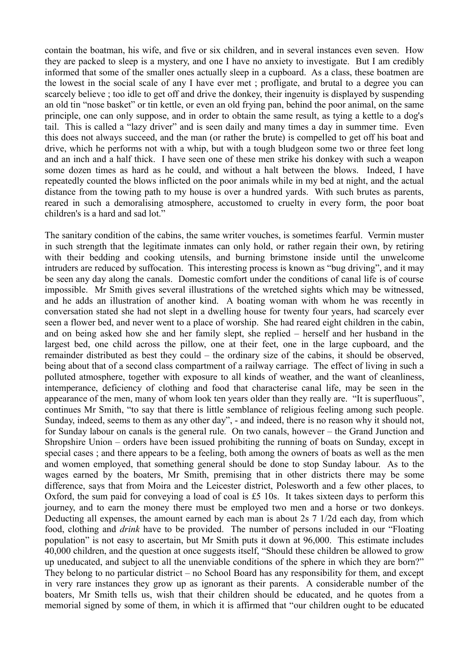contain the boatman, his wife, and five or six children, and in several instances even seven. How they are packed to sleep is a mystery, and one I have no anxiety to investigate. But I am credibly informed that some of the smaller ones actually sleep in a cupboard. As a class, these boatmen are the lowest in the social scale of any I have ever met ; profligate, and brutal to a degree you can scarcely believe ; too idle to get off and drive the donkey, their ingenuity is displayed by suspending an old tin "nose basket" or tin kettle, or even an old frying pan, behind the poor animal, on the same principle, one can only suppose, and in order to obtain the same result, as tying a kettle to a dog's tail. This is called a "lazy driver" and is seen daily and many times a day in summer time. Even this does not always succeed, and the man (or rather the brute) is compelled to get off his boat and drive, which he performs not with a whip, but with a tough bludgeon some two or three feet long and an inch and a half thick. I have seen one of these men strike his donkey with such a weapon some dozen times as hard as he could, and without a halt between the blows. Indeed, I have repeatedly counted the blows inflicted on the poor animals while in my bed at night, and the actual distance from the towing path to my house is over a hundred yards. With such brutes as parents, reared in such a demoralising atmosphere, accustomed to cruelty in every form, the poor boat children's is a hard and sad lot."

The sanitary condition of the cabins, the same writer vouches, is sometimes fearful. Vermin muster in such strength that the legitimate inmates can only hold, or rather regain their own, by retiring with their bedding and cooking utensils, and burning brimstone inside until the unwelcome intruders are reduced by suffocation. This interesting process is known as "bug driving", and it may be seen any day along the canals. Domestic comfort under the conditions of canal life is of course impossible. Mr Smith gives several illustrations of the wretched sights which may be witnessed, and he adds an illustration of another kind. A boating woman with whom he was recently in conversation stated she had not slept in a dwelling house for twenty four years, had scarcely ever seen a flower bed, and never went to a place of worship. She had reared eight children in the cabin, and on being asked how she and her family slept, she replied – herself and her husband in the largest bed, one child across the pillow, one at their feet, one in the large cupboard, and the remainder distributed as best they could – the ordinary size of the cabins, it should be observed, being about that of a second class compartment of a railway carriage. The effect of living in such a polluted atmosphere, together with exposure to all kinds of weather, and the want of cleanliness, intemperance, deficiency of clothing and food that characterise canal life, may be seen in the appearance of the men, many of whom look ten years older than they really are. "It is superfluous", continues Mr Smith, "to say that there is little semblance of religious feeling among such people. Sunday, indeed, seems to them as any other day", - and indeed, there is no reason why it should not, for Sunday labour on canals is the general rule. On two canals, however – the Grand Junction and Shropshire Union – orders have been issued prohibiting the running of boats on Sunday, except in special cases ; and there appears to be a feeling, both among the owners of boats as well as the men and women employed, that something general should be done to stop Sunday labour. As to the wages earned by the boaters, Mr Smith, premising that in other districts there may be some difference, says that from Moira and the Leicester district, Polesworth and a few other places, to Oxford, the sum paid for conveying a load of coal is £5 10s. It takes sixteen days to perform this journey, and to earn the money there must be employed two men and a horse or two donkeys. Deducting all expenses, the amount earned by each man is about 2s 7 1/2d each day, from which food, clothing and *drink* have to be provided. The number of persons included in our "Floating population" is not easy to ascertain, but Mr Smith puts it down at 96,000. This estimate includes 40,000 children, and the question at once suggests itself, "Should these children be allowed to grow up uneducated, and subject to all the unenviable conditions of the sphere in which they are born?" They belong to no particular district – no School Board has any responsibility for them, and except in very rare instances they grow up as ignorant as their parents. A considerable number of the boaters, Mr Smith tells us, wish that their children should be educated, and he quotes from a memorial signed by some of them, in which it is affirmed that "our children ought to be educated